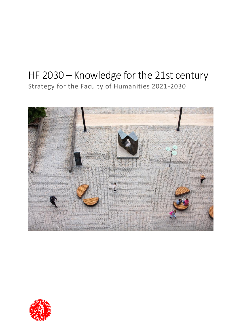# HF 2030 – Knowledge for the 21st century Strategy for the Faculty of Humanities 2021-2030



![](_page_0_Picture_2.jpeg)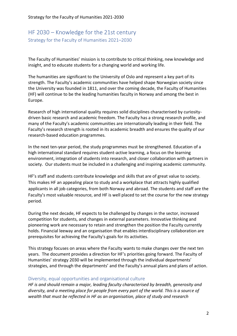# HF 2030 – Knowledge for the 21st century Strategy for the Faculty of Humanities 2021–2030

The Faculty of Humanities' mission is to contribute to critical thinking, new knowledge and insight, and to educate students for a changing world and working life.

The humanities are significant to the University of Oslo and represent a key part of its strength. The Faculty's academic communities have helped shape Norwegian society since the University was founded in 1811, and over the coming decade, the Faculty of Humanities (HF) will continue to be the leading humanities faculty in Norway and among the best in Europe.

Research of high international quality requires solid disciplines characterised by curiositydriven basic research and academic freedom. The Faculty has a strong research profile, and many of the Faculty's academic communities are internationally leading in their field. The Faculty's research strength is rooted in its academic breadth and ensures the quality of our research-based education programmes.

In the next ten-year period, the study programmes must be strengthened. Education of a high international standard requires student-active learning, a focus on the learning environment, integration of students into research, and closer collaboration with partners in society. Our students must be included in a challenging and inspiring academic community.

HF's staff and students contribute knowledge and skills that are of great value to society. This makes HF an appealing place to study and a workplace that attracts highly qualified applicants in all job categories, from both Norway and abroad. The students and staff are the Faculty's most valuable resource, and HF is well placed to set the course for the new strategy period.

During the next decade, HF expects to be challenged by changes in the sector, increased competition for students, and changes in external parameters. Innovative thinking and pioneering work are necessary to retain and strengthen the position the Faculty currently holds. Financial leeway and an organisation that enables interdisciplinary collaboration are prerequisites for achieving the Faculty's goals for its activities.

This strategy focuses on areas where the Faculty wants to make changes over the next ten years. The document provides a direction for HF's priorities going forward. The Faculty of Humanities' strategy 2030 will be implemented through the individual departments' strategies, and through the departments' and the Faculty's annual plans and plans of action.

## Diversity, equal opportunities and organisational culture

*HF is and should remain a major, leading faculty characterised by breadth, generosity and diversity, and a meeting place for people from every part of the world. This is a source of wealth that must be reflected in HF as an organisation, place of study and research*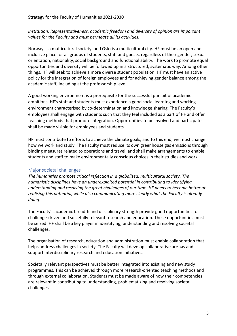# *institution. Representativeness, academic freedom and diversity of opinion are important values for the Faculty and must permeate all its activities.*

Norway is a multicultural society, and Oslo is a multicultural city. HF must be an open and inclusive place for all groups of students, staff and guests, regardless of their gender, sexual orientation, nationality, social background and functional ability. The work to promote equal opportunities and diversity will be followed up in a structured, systematic way. Among other things, HF will seek to achieve a more diverse student population. HF must have an active policy for the integration of foreign employees and for achieving gender balance among the academic staff, including at the professorship level.

A good working environment is a prerequisite for the successful pursuit of academic ambitions. HF's staff and students must experience a good social learning and working environment characterised by co-determination and knowledge sharing. The Faculty's employees shall engage with students such that they feel included as a part of HF and offer teaching methods that promote integration. Opportunities to be involved and participate shall be made visible for employees and students.

HF must contribute to efforts to achieve the climate goals, and to this end, we must change how we work and study. The Faculty must reduce its own greenhouse gas emissions through binding measures related to operations and travel, and shall make arrangements to enable students and staff to make environmentally conscious choices in their studies and work.

# Major societal challenges

*The humanities promote critical reflection in a globalised, multicultural society. The humanistic disciplines have an underexploited potential in contributing to identifying, understanding and resolving the great challenges of our time. HF needs to become better at realising this potential, while also communicating more clearly what the Faculty is already doing.* 

The Faculty's academic breadth and disciplinary strength provide good opportunities for challenge-driven and societally relevant research and education. These opportunities must be seized. HF shall be a key player in identifying, understanding and resolving societal challenges.

The organisation of research, education and administration must enable collaboration that helps address challenges in society. The Faculty will develop collaborative arenas and support interdisciplinary research and education initiatives.

Societally relevant perspectives must be better integrated into existing and new study programmes. This can be achieved through more research-oriented teaching methods and through external collaboration. Students must be made aware of how their competencies are relevant in contributing to understanding, problematizing and resolving societal challenges.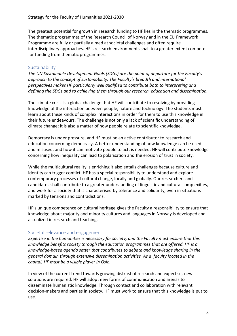The greatest potential for growth in research funding to HF lies in the thematic programmes. The thematic programmes of the Research Council of Norway and in the EU Framework Programme are fully or partially aimed at societal challenges and often require interdisciplinary approaches. HF's research environments shall to a greater extent compete for funding from thematic programmes.

#### **Sustainability**

*The UN Sustainable Development Goals (SDGs) are the point of departure for the Faculty's approach to the concept of sustainability. The Faculty's breadth and international perspectives makes HF particularly well qualified to contribute both to interpreting and defining the SDGs and to achieving them through our research, education and dissemination.*

The climate crisis is a global challenge that HF will contribute to resolving by providing knowledge of the interaction between people, nature and technology. The students must learn about these kinds of complex interactions in order for them to use this knowledge in their future endeavours. The challenge is not only a lack of scientific understanding of climate change; it is also a matter of how people relate to scientific knowledge.

Democracy is under pressure, and HF must be an active contributor to research and education concerning democracy. A better understanding of how knowledge can be used and misused, and how it can motivate people to act, is needed. HF will contribute knowledge concerning how inequality can lead to polarisation and the erosion of trust in society.

While the multicultural reality is enriching it also entails challenges because culture and identity can trigger conflict. HF has a special responsibility to understand and explore contemporary processes of cultural change, locally and globally. Our researchers and candidates shall contribute to a greater understanding of linguistic and cultural complexities, and work for a society that is characterised by tolerance and solidarity, even in situations marked by tensions and contradictions.

HF's unique competence on cultural heritage gives the Faculty a responsibility to ensure that knowledge about majority and minority cultures and languages in Norway is developed and actualized in research and teaching.

#### Societal relevance and engagement

*Expertise in the humanities is necessary for society, and the Faculty must ensure that this knowledge benefits society through the education programmes that are offered. HF is a knowledge-based agenda setter that contributes to debate and knowledge sharing in the general domain through extensive dissemination activities. As a faculty located in the capital, HF must be a visible player in Oslo.* 

In view of the current trend towards growing distrust of research and expertise, new solutions are required. HF will adopt new forms of communication and arenas to disseminate humanistic knowledge. Through contact and collaboration with relevant decision-makers and parties in society, HF must work to ensure that this knowledge is put to use.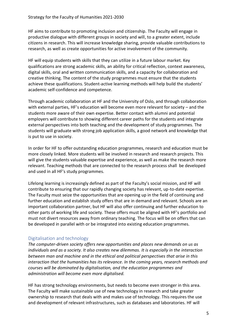HF aims to contribute to promoting inclusion and citizenship. The Faculty will engage in productive dialogue with different groups in society and will, to a greater extent, include citizens in research. This will increase knowledge sharing, provide valuable contributions to research, as well as create opportunities for active involvement of the community.

HF will equip students with skills that they can utilize in a future labour market. Key qualifications are strong academic skills, an ability for critical reflection, context awareness, digital skills, oral and written communication skills, and a capacity for collaboration and creative thinking. The content of the study programmes must ensure that the students achieve these qualifications. Student-active learning methods will help build the students' academic self-confidence and competence.

Through academic collaboration at HF and the University of Oslo, and through collaboration with external parties, HF's education will become even more relevant for society – and the students more aware of their own expertise. Better contact with alumni and potential employers will contribute to showing different career paths for the students and integrate external perspectives into both teaching and the development of study programmes. The students will graduate with strong job application skills, a good network and knowledge that is put to use in society.

In order for HF to offer outstanding education programmes, research and education must be more closely linked. More students will be involved in research and research projects. This will give the students valuable expertise and experience, as well as make the research more relevant. Teaching methods that are connected to the research process shall be developed and used in all HF's study programmes.

Lifelong learning is increasingly defined as part of the Faculty's social mission, and HF will contribute to ensuring that our rapidly changing society has relevant, up-to-date expertise. The Faculty must seize the opportunities that are opening up in the field of continuing and further education and establish study offers that are in demand and relevant. Schools are an important collaboration partner, but HF will also offer continuing and further education to other parts of working life and society. These offers must be aligned with HF's portfolio and must not divert resources away from ordinary teaching. The focus will be on offers that can be developed in parallel with or be integrated into existing education programmes.

## Digitalisation and technology

*The computer-driven society offers new opportunities and places new demands on us as individuals and as a society. It also creates new dilemmas. It is especially in the interaction between man and machine and in the ethical and political perspectives that arise in this interaction that the humanities has its relevance. In the coming years, research methods and courses will be dominated by digitalisation, and the education programmes and administration will become even more digitalised.*

HF has strong technology environments, but needs to become even stronger in this area. The Faculty will make sustainable use of new technology in research and take greater ownership to research that deals with and makes use of technology. This requires the use and development of relevant infrastructures, such as databases and laboratories. HF will